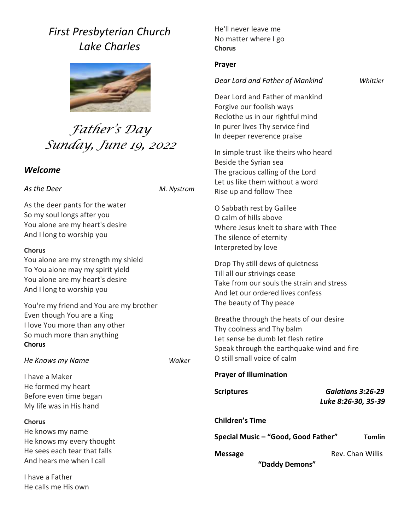## *First Presbyterian Church Lake Charles*



# *Father's Day Sunday, June 19, 2022*

### *Welcome*

### *As the Deer M. Nystrom*

As the deer pants for the water So my soul longs after you You alone are my heart's desire And I long to worship you

### **Chorus**

You alone are my strength my shield To You alone may my spirit yield You alone are my heart's desire And I long to worship you

You're my friend and You are my brother Even though You are a King I love You more than any other So much more than anything **Chorus**

### *He Knows my Name Walker*

I have a Maker He formed my heart Before even time began My life was in His hand

### **Chorus**

He knows my name He knows my every thought He sees each tear that falls And hears me when I call

I have a Father He calls me His own He'll never leave me No matter where I go **Chorus**

### **Prayer**

### *Dear Lord and Father of Mankind Whittier*

Dear Lord and Father of mankind Forgive our foolish ways Reclothe us in our rightful mind In purer lives Thy service find In deeper reverence praise

In simple trust like theirs who heard Beside the Syrian sea The gracious calling of the Lord Let us like them without a word Rise up and follow Thee

O Sabbath rest by Galilee O calm of hills above Where Jesus knelt to share with Thee The silence of eternity Interpreted by love

Drop Thy still dews of quietness Till all our strivings cease Take from our souls the strain and stress And let our ordered lives confess The beauty of Thy peace

Breathe through the heats of our desire Thy coolness and Thy balm Let sense be dumb let flesh retire Speak through the earthquake wind and fire O still small voice of calm

### **Prayer of Illumination**

**Scriptures** *Galatians 3:26-29 Luke 8:26-30, 35-39*

### **Children's Time**

**Special Music – "Good, Good Father" Tomlin**

**Message Communist Chan Willis** Rev. Chan Willis

 **"Daddy Demons"**